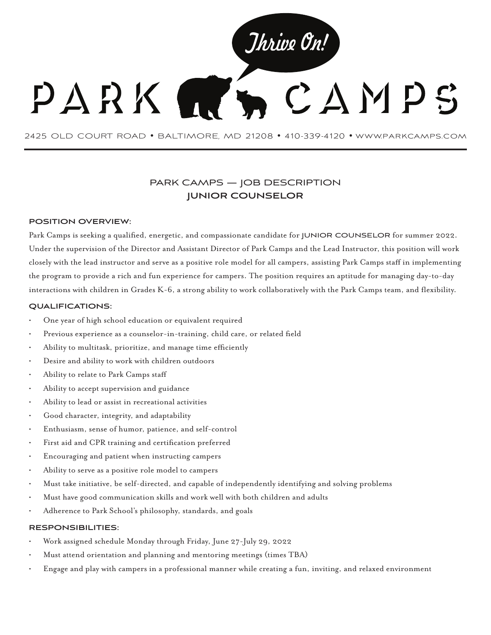

2425 OLD COURT ROAD • BALTIMORE, MD 21208 • 410-339-4120 • www.parkcamps.com

# PARK CAMPS — JOB DESCRIPTION **JUNIOR COUNSELOR**

## **POSITION OVERVIEW:**

Park Camps is seeking a qualified, energetic, and compassionate candidate for JUNIOR COUNSELOR for summer 2022. Under the supervision of the Director and Assistant Director of Park Camps and the Lead Instructor, this position will work closely with the lead instructor and serve as a positive role model for all campers, assisting Park Camps staff in implementing the program to provide a rich and fun experience for campers. The position requires an aptitude for managing day-to-day interactions with children in Grades K-6, a strong ability to work collaboratively with the Park Camps team, and flexibility.

### **QUALIFICATIONS:**

- One year of high school education or equivalent required
- Previous experience as a counselor-in-training, child care, or related field
- Ability to multitask, prioritize, and manage time efficiently
- Desire and ability to work with children outdoors
- Ability to relate to Park Camps staff
- Ability to accept supervision and guidance
- Ability to lead or assist in recreational activities
- Good character, integrity, and adaptability
- Enthusiasm, sense of humor, patience, and self-control
- First aid and CPR training and certification preferred
- Encouraging and patient when instructing campers
- Ability to serve as a positive role model to campers
- Must take initiative, be self-directed, and capable of independently identifying and solving problems
- Must have good communication skills and work well with both children and adults
- Adherence to Park School's philosophy, standards, and goals

#### **RESPONSIBILITIES:**

- Work assigned schedule Monday through Friday, June 27-July 29, 2022
- Must attend orientation and planning and mentoring meetings (times TBA)
- Engage and play with campers in a professional manner while creating a fun, inviting, and relaxed environment